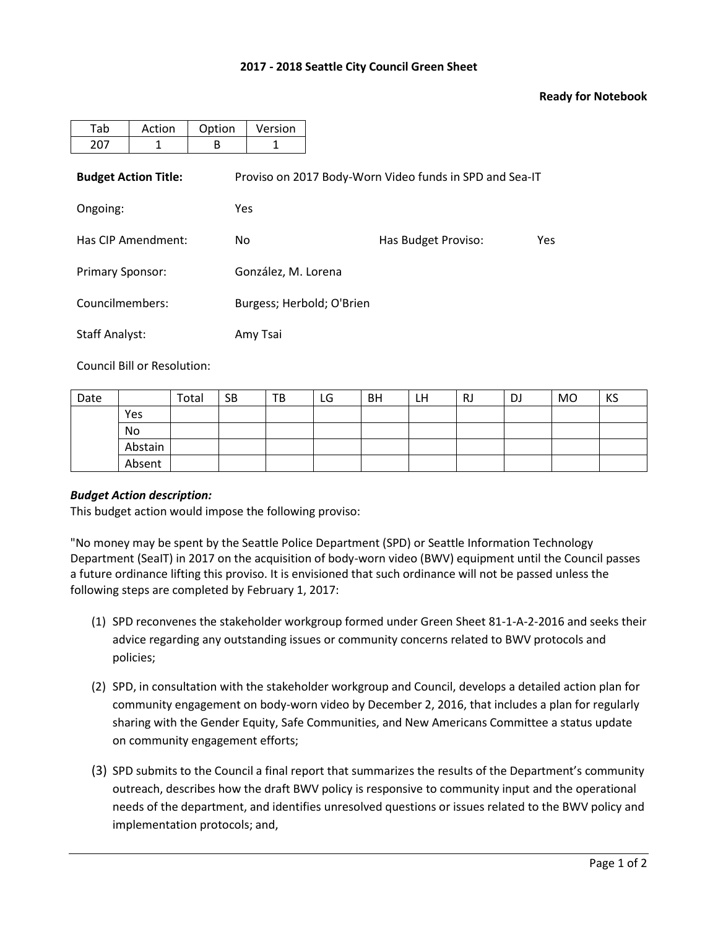## **2017 - 2018 Seattle City Council Green Sheet**

## **Ready for Notebook**

| Tab                     | Action                      | Option | Version                   |                                                         |     |  |  |  |  |
|-------------------------|-----------------------------|--------|---------------------------|---------------------------------------------------------|-----|--|--|--|--|
| 207                     | 1                           | B      | 1                         |                                                         |     |  |  |  |  |
|                         | <b>Budget Action Title:</b> |        |                           | Proviso on 2017 Body-Worn Video funds in SPD and Sea-IT |     |  |  |  |  |
| Ongoing:                |                             |        | <b>Yes</b>                |                                                         |     |  |  |  |  |
| Has CIP Amendment:      |                             | No.    |                           | Has Budget Proviso:                                     | Yes |  |  |  |  |
| <b>Primary Sponsor:</b> |                             |        | González, M. Lorena       |                                                         |     |  |  |  |  |
| Councilmembers:         |                             |        | Burgess; Herbold; O'Brien |                                                         |     |  |  |  |  |
| <b>Staff Analyst:</b>   |                             |        | Amy Tsai                  |                                                         |     |  |  |  |  |

Council Bill or Resolution:

| Date |         | Total | <b>SB</b> | TВ | LG | <b>BH</b> | LH | RJ | DJ | MO | KS |
|------|---------|-------|-----------|----|----|-----------|----|----|----|----|----|
|      | Yes     |       |           |    |    |           |    |    |    |    |    |
|      | No      |       |           |    |    |           |    |    |    |    |    |
|      | Abstain |       |           |    |    |           |    |    |    |    |    |
|      | Absent  |       |           |    |    |           |    |    |    |    |    |

## *Budget Action description:*

This budget action would impose the following proviso:

"No money may be spent by the Seattle Police Department (SPD) or Seattle Information Technology Department (SeaIT) in 2017 on the acquisition of body-worn video (BWV) equipment until the Council passes a future ordinance lifting this proviso. It is envisioned that such ordinance will not be passed unless the following steps are completed by February 1, 2017:

- (1) SPD reconvenes the stakeholder workgroup formed under Green Sheet 81-1-A-2-2016 and seeks their advice regarding any outstanding issues or community concerns related to BWV protocols and policies;
- (2) SPD, in consultation with the stakeholder workgroup and Council, develops a detailed action plan for community engagement on body-worn video by December 2, 2016, that includes a plan for regularly sharing with the Gender Equity, Safe Communities, and New Americans Committee a status update on community engagement efforts;
- (3) SPD submits to the Council a final report that summarizes the results of the Department's community outreach, describes how the draft BWV policy is responsive to community input and the operational needs of the department, and identifies unresolved questions or issues related to the BWV policy and implementation protocols; and,